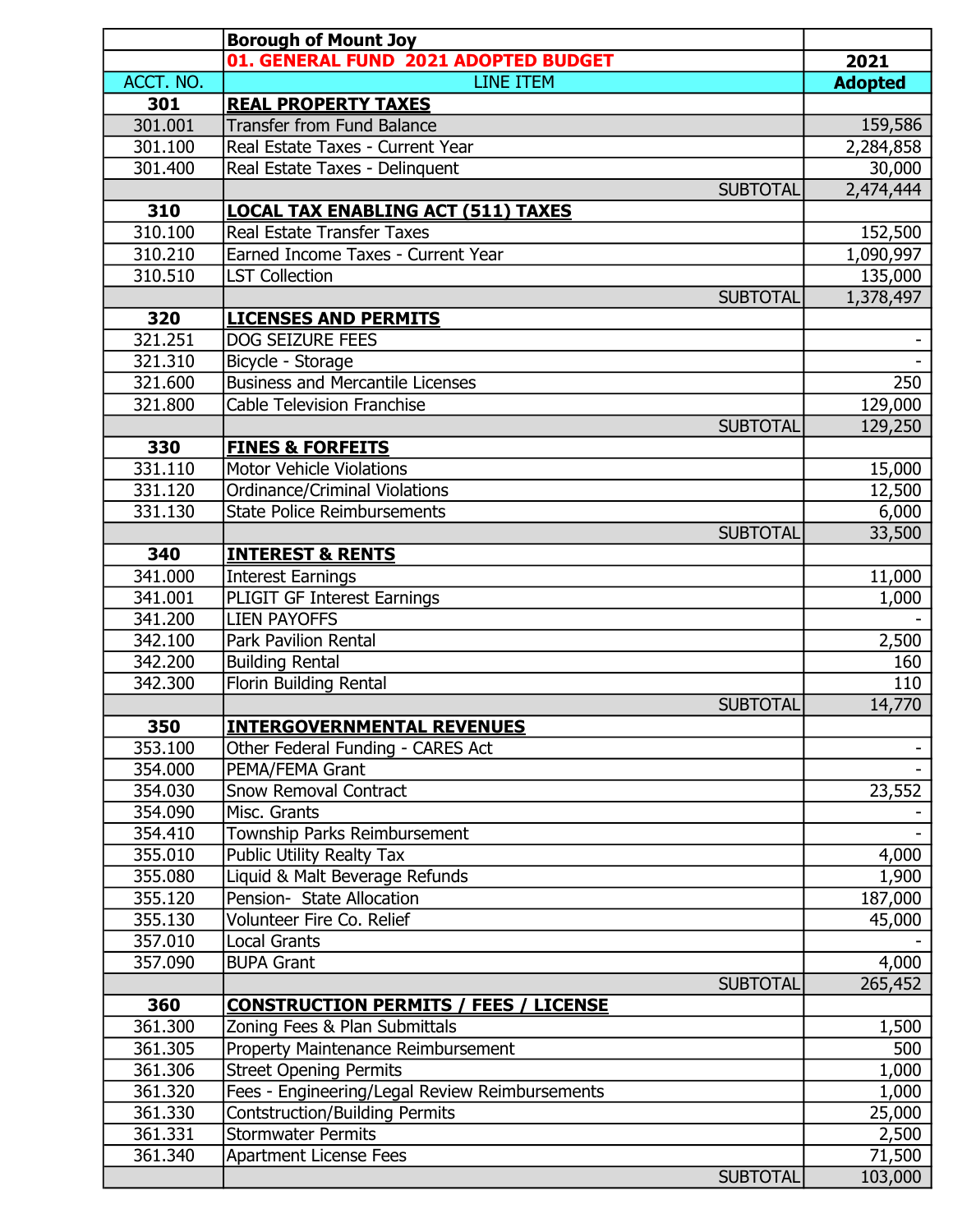|                    | <b>Borough of Mount Joy</b>                                                             |                 |
|--------------------|-----------------------------------------------------------------------------------------|-----------------|
|                    | 01. GENERAL FUND 2021 ADOPTED BUDGET                                                    | 2021            |
| ACCT. NO.          | <b>LINE ITEM</b>                                                                        | <b>Adopted</b>  |
| 301                | <b>REAL PROPERTY TAXES</b>                                                              |                 |
| 301.001            | <b>Transfer from Fund Balance</b>                                                       | 159,586         |
| 301.100            | Real Estate Taxes - Current Year                                                        | 2,284,858       |
| 301.400            | Real Estate Taxes - Delinquent                                                          | 30,000          |
|                    | <b>SUBTOTAL</b>                                                                         | 2,474,444       |
| 310                | <b>LOCAL TAX ENABLING ACT (511) TAXES</b>                                               |                 |
| 310.100            | <b>Real Estate Transfer Taxes</b>                                                       | 152,500         |
| 310.210            | Earned Income Taxes - Current Year                                                      | 1,090,997       |
| 310.510            | <b>LST Collection</b>                                                                   | 135,000         |
|                    | <b>SUBTOTAL</b>                                                                         | 1,378,497       |
| 320                | <b>LICENSES AND PERMITS</b>                                                             |                 |
| 321.251            | DOG SEIZURE FEES                                                                        |                 |
| 321.310            | Bicycle - Storage                                                                       |                 |
| 321.600            | <b>Business and Mercantile Licenses</b>                                                 | 250             |
| 321.800            | <b>Cable Television Franchise</b>                                                       | 129,000         |
|                    | <b>SUBTOTAL</b>                                                                         | 129,250         |
| 330                | <b>FINES &amp; FORFEITS</b>                                                             |                 |
| 331.110            | <b>Motor Vehicle Violations</b>                                                         | 15,000          |
| 331.120            | <b>Ordinance/Criminal Violations</b>                                                    | 12,500          |
| 331.130            | <b>State Police Reimbursements</b>                                                      | 6,000           |
|                    | <b>SUBTOTAL</b>                                                                         | 33,500          |
| 340                | <b>INTEREST &amp; RENTS</b>                                                             |                 |
| 341.000            | <b>Interest Earnings</b>                                                                | 11,000          |
| 341.001            | PLIGIT GF Interest Earnings                                                             | 1,000           |
| 341.200            | <b>LIEN PAYOFFS</b>                                                                     |                 |
| 342.100            | <b>Park Pavilion Rental</b>                                                             | 2,500           |
| 342.200            | <b>Building Rental</b>                                                                  | 160             |
| 342.300            | Florin Building Rental                                                                  | 110             |
|                    | <b>SUBTOTAL</b>                                                                         | 14,770          |
| 350                | <b>INTERGOVERNMENTAL REVENUES</b>                                                       |                 |
| 353.100            | Other Federal Funding - CARES Act                                                       |                 |
| 354.000            | PEMA/FEMA Grant                                                                         |                 |
| 354.030            | <b>Snow Removal Contract</b>                                                            | 23,552          |
| 354.090            | Misc. Grants                                                                            |                 |
| 354.410            | Township Parks Reimbursement                                                            |                 |
| 355.010            | <b>Public Utility Realty Tax</b>                                                        | 4,000           |
| 355.080            | Liquid & Malt Beverage Refunds                                                          | 1,900           |
| 355.120            | Pension- State Allocation                                                               | 187,000         |
| 355.130            | Volunteer Fire Co. Relief                                                               | 45,000          |
| 357.010            | <b>Local Grants</b>                                                                     |                 |
| 357.090            | <b>BUPA Grant</b>                                                                       | 4,000           |
| 360                | <b>SUBTOTAL</b>                                                                         | 265,452         |
| 361.300            | <b>CONSTRUCTION PERMITS / FEES / LICENSE</b><br>Zoning Fees & Plan Submittals           |                 |
| 361.305            | Property Maintenance Reimbursement                                                      | 1,500<br>500    |
| 361.306            | <b>Street Opening Permits</b>                                                           |                 |
|                    |                                                                                         | 1,000           |
| 361.320<br>361.330 | Fees - Engineering/Legal Review Reimbursements<br><b>Contstruction/Building Permits</b> | 1,000           |
| 361.331            | <b>Stormwater Permits</b>                                                               | 25,000<br>2,500 |
| 361.340            | <b>Apartment License Fees</b>                                                           | 71,500          |
|                    | <b>SUBTOTAL</b>                                                                         | 103,000         |
|                    |                                                                                         |                 |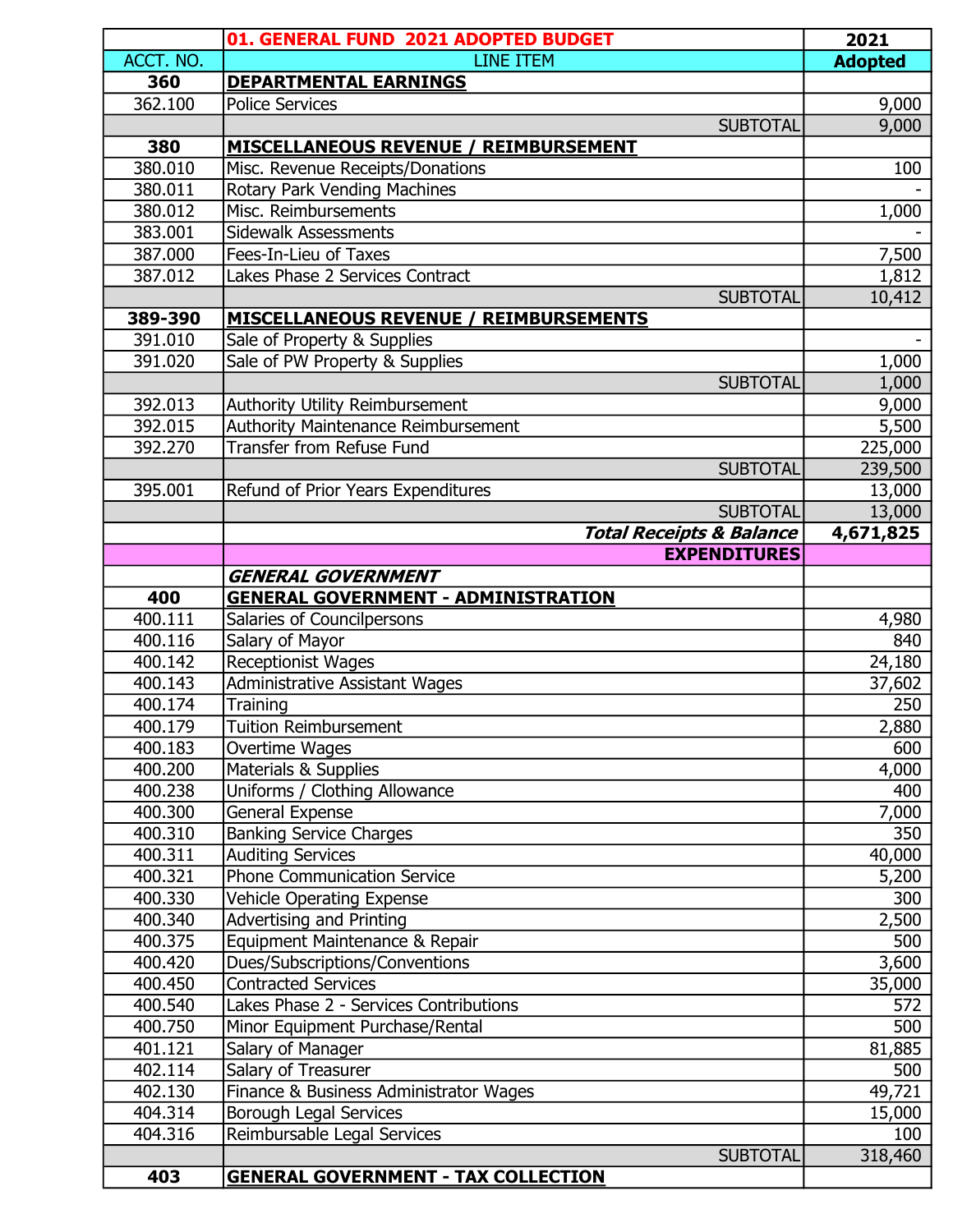|                    | 01. GENERAL FUND 2021 ADOPTED BUDGET                  | 2021           |
|--------------------|-------------------------------------------------------|----------------|
| ACCT. NO.          | <b>LINE ITEM</b>                                      | <b>Adopted</b> |
| 360                | <b>DEPARTMENTAL EARNINGS</b>                          |                |
| 362.100            | <b>Police Services</b>                                | 9,000          |
|                    | <b>SUBTOTAL</b>                                       | 9,000          |
| 380                | <b>MISCELLANEOUS REVENUE / REIMBURSEMENT</b>          |                |
| 380.010            | Misc. Revenue Receipts/Donations                      | 100            |
| 380.011            | Rotary Park Vending Machines                          |                |
| 380.012            | Misc. Reimbursements                                  | 1,000          |
| 383.001            | <b>Sidewalk Assessments</b>                           |                |
| 387.000            | Fees-In-Lieu of Taxes                                 | 7,500          |
| 387.012            | Lakes Phase 2 Services Contract                       | 1,812          |
|                    | <b>SUBTOTAL</b>                                       | 10,412         |
| 389-390            | <b>MISCELLANEOUS REVENUE / REIMBURSEMENTS</b>         |                |
| 391.010            | Sale of Property & Supplies                           |                |
| 391.020            | Sale of PW Property & Supplies                        | 1,000          |
|                    | <b>SUBTOTAL</b>                                       | 1,000          |
| 392.013            | Authority Utility Reimbursement                       | 9,000          |
| 392.015            | <b>Authority Maintenance Reimbursement</b>            | 5,500          |
| 392.270            | <b>Transfer from Refuse Fund</b>                      | 225,000        |
|                    | <b>SUBTOTAL</b>                                       | 239,500        |
| 395.001            | Refund of Prior Years Expenditures                    | 13,000         |
|                    | <b>SUBTOTAL</b>                                       | 13,000         |
|                    | <b>Total Receipts &amp; Balance</b>                   | 4,671,825      |
|                    | <b>EXPENDITURES</b>                                   |                |
|                    | <b>GENERAL GOVERNMENT</b>                             |                |
| 400                | <b>GENERAL GOVERNMENT - ADMINISTRATION</b>            |                |
| 400.111            | Salaries of Councilpersons                            | 4,980          |
| 400.116            | Salary of Mayor                                       | 840            |
| 400.142            | Receptionist Wages                                    | 24,180         |
| 400.143            | <b>Administrative Assistant Wages</b>                 | 37,602         |
| 400.174            | Training<br><b>Tuition Reimbursement</b>              | 250            |
| 400.179            |                                                       | 2,880          |
| 400.183            | Overtime Wages                                        | 600            |
| 400.200<br>400.238 | Materials & Supplies<br>Uniforms / Clothing Allowance | 4,000<br>400   |
| 400.300            | General Expense                                       | 7,000          |
| 400.310            | <b>Banking Service Charges</b>                        | 350            |
| 400.311            | <b>Auditing Services</b>                              | 40,000         |
| 400.321            | <b>Phone Communication Service</b>                    | 5,200          |
| 400.330            | <b>Vehicle Operating Expense</b>                      | 300            |
| 400.340            | <b>Advertising and Printing</b>                       | 2,500          |
| 400.375            | Equipment Maintenance & Repair                        | 500            |
| 400.420            | Dues/Subscriptions/Conventions                        | 3,600          |
| 400.450            | <b>Contracted Services</b>                            | 35,000         |
| 400.540            | Lakes Phase 2 - Services Contributions                | 572            |
| 400.750            | Minor Equipment Purchase/Rental                       | 500            |
| 401.121            | Salary of Manager                                     | 81,885         |
| 402.114            | Salary of Treasurer                                   | 500            |
| 402.130            | Finance & Business Administrator Wages                | 49,721         |
| 404.314            | <b>Borough Legal Services</b>                         | 15,000         |
| 404.316            | Reimbursable Legal Services                           | 100            |
|                    | <b>SUBTOTAL</b>                                       | 318,460        |
| 403                | <b>GENERAL GOVERNMENT - TAX COLLECTION</b>            |                |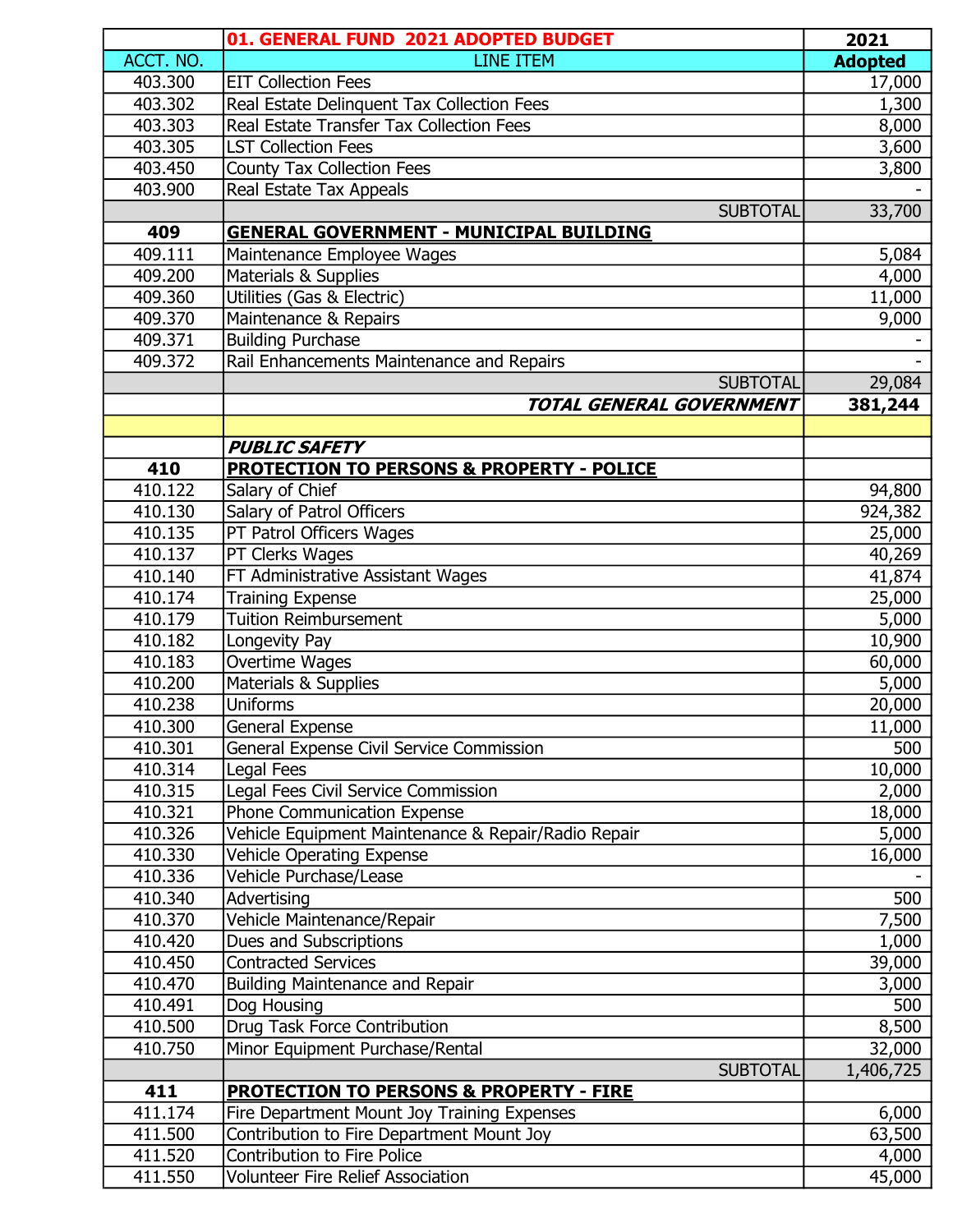|                    | 01. GENERAL FUND 2021 ADOPTED BUDGET                               | 2021           |
|--------------------|--------------------------------------------------------------------|----------------|
| ACCT. NO.          | <b>LINE ITEM</b>                                                   | <b>Adopted</b> |
| 403.300            | <b>EIT Collection Fees</b>                                         | 17,000         |
| 403.302            | Real Estate Delinquent Tax Collection Fees                         | 1,300          |
| 403.303            | Real Estate Transfer Tax Collection Fees                           | 8,000          |
| 403.305            | <b>LST Collection Fees</b>                                         | 3,600          |
| 403.450            | <b>County Tax Collection Fees</b>                                  | 3,800          |
| 403.900            | <b>Real Estate Tax Appeals</b>                                     |                |
|                    | <b>SUBTOTAL</b>                                                    | 33,700         |
| 409                | <b>GENERAL GOVERNMENT - MUNICIPAL BUILDING</b>                     |                |
| 409.111            | Maintenance Employee Wages                                         | 5,084          |
| 409.200            | Materials & Supplies                                               | 4,000          |
| 409.360            | Utilities (Gas & Electric)                                         | 11,000         |
| 409.370            | Maintenance & Repairs                                              | 9,000          |
| 409.371            | <b>Building Purchase</b>                                           |                |
| 409.372            | Rail Enhancements Maintenance and Repairs                          |                |
|                    | <b>SUBTOTAL</b>                                                    | 29,084         |
|                    | <b>TOTAL GENERAL GOVERNMENT</b>                                    | 381,244        |
|                    |                                                                    |                |
|                    | <b>PUBLIC SAFETY</b>                                               |                |
| 410                | <b>PROTECTION TO PERSONS &amp; PROPERTY - POLICE</b>               |                |
| 410.122            | Salary of Chief                                                    | 94,800         |
| 410.130            | Salary of Patrol Officers                                          | 924,382        |
| 410.135            | PT Patrol Officers Wages                                           | 25,000         |
| 410.137            | PT Clerks Wages                                                    | 40,269         |
| 410.140            | FT Administrative Assistant Wages                                  | 41,874         |
| 410.174            | <b>Training Expense</b>                                            | 25,000         |
| 410.179            | <b>Tuition Reimbursement</b>                                       | 5,000          |
| 410.182            | Longevity Pay                                                      | 10,900         |
| 410.183            | Overtime Wages                                                     | 60,000         |
| 410.200            | Materials & Supplies<br><b>Uniforms</b>                            | 5,000          |
| 410.238<br>410.300 |                                                                    | 20,000         |
| 410.301            | <b>General Expense</b><br>General Expense Civil Service Commission | 11,000<br>500  |
| 410.314            | <b>Legal Fees</b>                                                  | 10,000         |
| 410.315            | Legal Fees Civil Service Commission                                | 2,000          |
| 410.321            | <b>Phone Communication Expense</b>                                 | 18,000         |
| 410.326            | Vehicle Equipment Maintenance & Repair/Radio Repair                | 5,000          |
| 410.330            | <b>Vehicle Operating Expense</b>                                   | 16,000         |
| 410.336            | Vehicle Purchase/Lease                                             |                |
| 410.340            | Advertising                                                        | 500            |
| 410.370            | Vehicle Maintenance/Repair                                         | 7,500          |
| 410.420            | Dues and Subscriptions                                             | 1,000          |
| 410.450            | <b>Contracted Services</b>                                         | 39,000         |
| 410.470            | Building Maintenance and Repair                                    | 3,000          |
| 410.491            | Dog Housing                                                        | 500            |
| 410.500            | Drug Task Force Contribution                                       | 8,500          |
| 410.750            | Minor Equipment Purchase/Rental                                    | 32,000         |
|                    | <b>SUBTOTAL</b>                                                    | 1,406,725      |
| 411                | <b>PROTECTION TO PERSONS &amp; PROPERTY - FIRE</b>                 |                |
| 411.174            | Fire Department Mount Joy Training Expenses                        | 6,000          |
| 411.500            | Contribution to Fire Department Mount Joy                          | 63,500         |
| 411.520            | <b>Contribution to Fire Police</b>                                 | 4,000          |
| 411.550            | Volunteer Fire Relief Association                                  | 45,000         |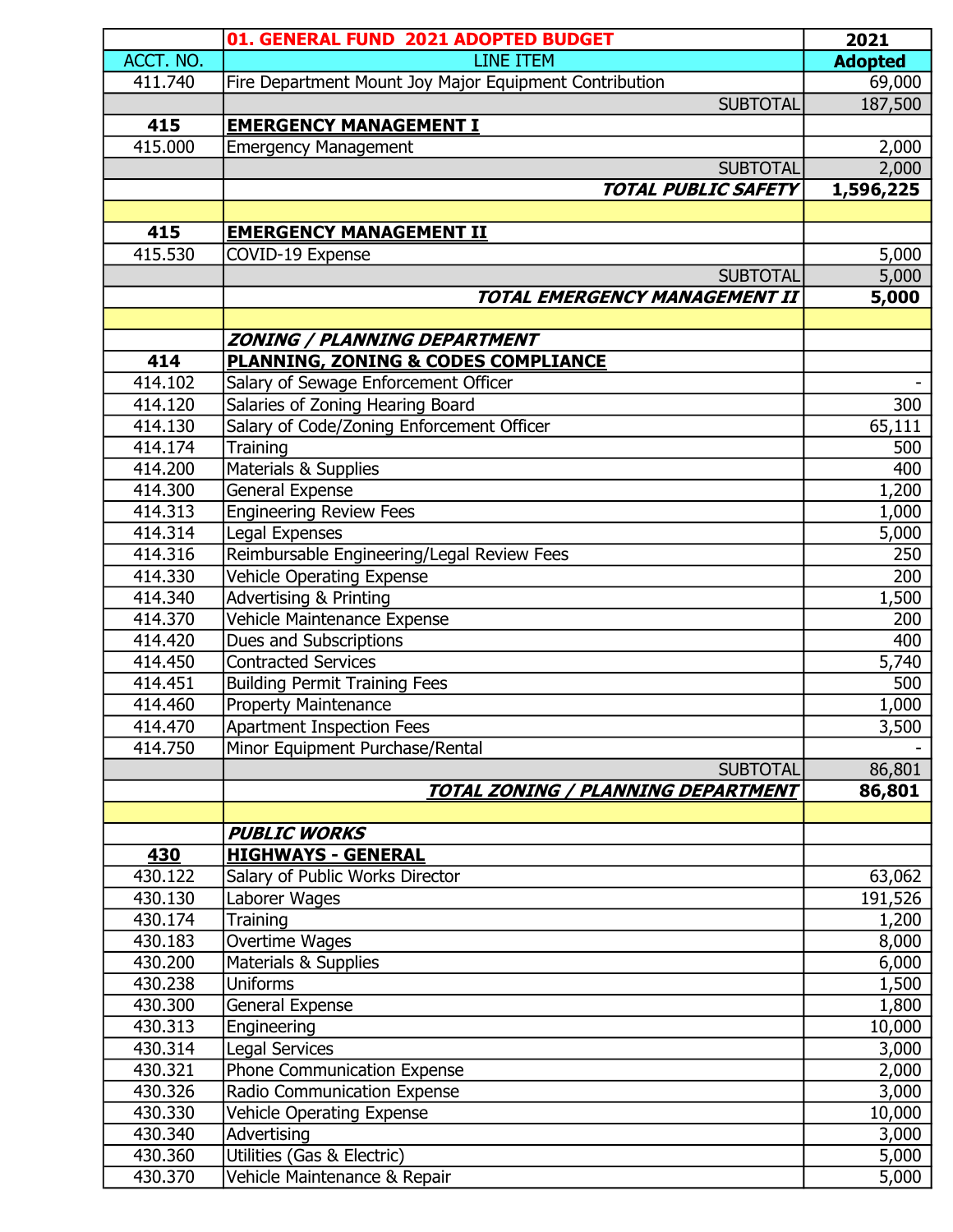|           | 01. GENERAL FUND 2021 ADOPTED BUDGET                                     | 2021           |
|-----------|--------------------------------------------------------------------------|----------------|
| ACCT. NO. | <b>LINE ITEM</b>                                                         | <b>Adopted</b> |
| 411.740   | Fire Department Mount Joy Major Equipment Contribution                   | 69,000         |
|           | <b>SUBTOTAL</b>                                                          | 187,500        |
| 415       | <b>EMERGENCY MANAGEMENT I</b>                                            |                |
| 415.000   | <b>Emergency Management</b>                                              | 2,000          |
|           | <b>SUBTOTAL</b>                                                          | 2,000          |
|           | <b>TOTAL PUBLIC SAFETY</b>                                               | 1,596,225      |
|           |                                                                          |                |
| 415       | <b>EMERGENCY MANAGEMENT II</b>                                           |                |
| 415.530   | COVID-19 Expense                                                         | 5,000          |
|           | <b>SUBTOTAL</b>                                                          | 5,000          |
|           | <b>TOTAL EMERGENCY MANAGEMENT II</b>                                     | 5,000          |
|           |                                                                          |                |
| 414       | <b>ZONING / PLANNING DEPARTMENT</b>                                      |                |
| 414.102   | <b>PLANNING, ZONING &amp; CODES COMPLIANCE</b>                           |                |
| 414.120   | Salary of Sewage Enforcement Officer<br>Salaries of Zoning Hearing Board | 300            |
| 414.130   | Salary of Code/Zoning Enforcement Officer                                | 65,111         |
| 414.174   | Training                                                                 | 500            |
| 414.200   | <b>Materials &amp; Supplies</b>                                          | 400            |
| 414.300   | <b>General Expense</b>                                                   | 1,200          |
| 414.313   | <b>Engineering Review Fees</b>                                           | 1,000          |
| 414.314   | Legal Expenses                                                           | 5,000          |
| 414.316   | Reimbursable Engineering/Legal Review Fees                               | 250            |
| 414.330   | <b>Vehicle Operating Expense</b>                                         | 200            |
| 414.340   | <b>Advertising &amp; Printing</b>                                        | 1,500          |
| 414.370   | Vehicle Maintenance Expense                                              | 200            |
| 414.420   | Dues and Subscriptions                                                   | 400            |
| 414.450   | Contracted Services                                                      | 5,740          |
| 414.451   | <b>Building Permit Training Fees</b>                                     | 500            |
| 414.460   | <b>Property Maintenance</b>                                              | 1,000          |
| 414.470   | Apartment Inspection Fees                                                | 3,500          |
| 414.750   | Minor Equipment Purchase/Rental                                          |                |
|           | <b>SUBTOTAL</b>                                                          | 86,801         |
|           | <b>TOTAL ZONING / PLANNING DEPARTMENT</b>                                | 86,801         |
|           |                                                                          |                |
| 430       | <b>PUBLIC WORKS</b><br><b>HIGHWAYS - GENERAL</b>                         |                |
| 430.122   | Salary of Public Works Director                                          | 63,062         |
| 430.130   | Laborer Wages                                                            | 191,526        |
| 430.174   | Training                                                                 | 1,200          |
| 430.183   | Overtime Wages                                                           | 8,000          |
| 430.200   | Materials & Supplies                                                     | 6,000          |
| 430.238   | <b>Uniforms</b>                                                          | 1,500          |
| 430.300   | General Expense                                                          | 1,800          |
| 430.313   | Engineering                                                              | 10,000         |
| 430.314   | <b>Legal Services</b>                                                    | 3,000          |
| 430.321   | Phone Communication Expense                                              | 2,000          |
| 430.326   | Radio Communication Expense                                              | 3,000          |
| 430.330   | <b>Vehicle Operating Expense</b>                                         | 10,000         |
| 430.340   | Advertising                                                              | 3,000          |
| 430.360   | Utilities (Gas & Electric)                                               | 5,000          |
| 430.370   | Vehicle Maintenance & Repair                                             | 5,000          |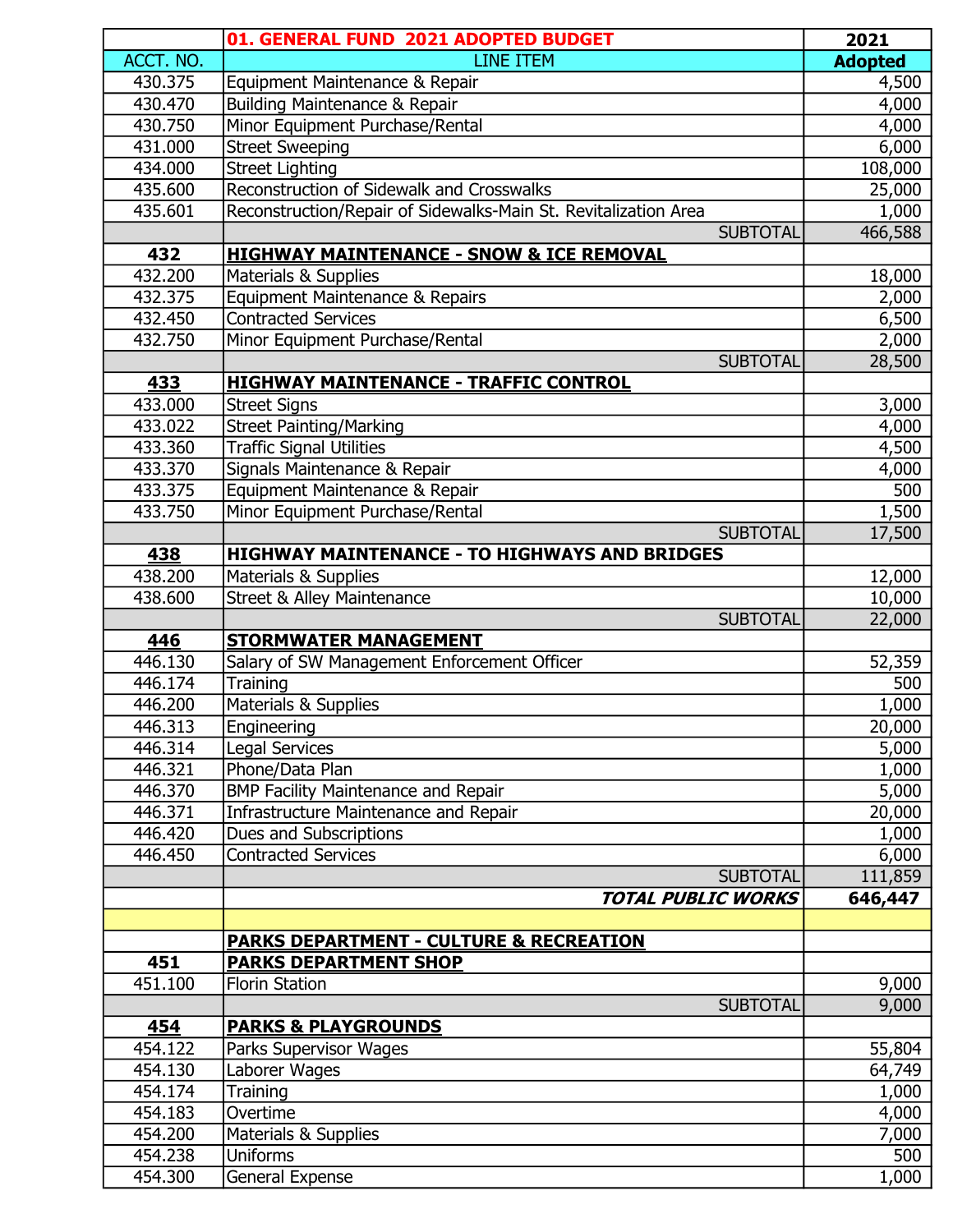|           | 01. GENERAL FUND 2021 ADOPTED BUDGET                            | 2021           |
|-----------|-----------------------------------------------------------------|----------------|
| ACCT. NO. | <b>LINE ITEM</b>                                                | <b>Adopted</b> |
| 430.375   | Equipment Maintenance & Repair                                  | 4,500          |
| 430.470   | <b>Building Maintenance &amp; Repair</b>                        | 4,000          |
| 430.750   | Minor Equipment Purchase/Rental                                 | 4,000          |
| 431.000   | <b>Street Sweeping</b>                                          | 6,000          |
| 434.000   | <b>Street Lighting</b>                                          | 108,000        |
| 435.600   | Reconstruction of Sidewalk and Crosswalks                       | 25,000         |
| 435.601   | Reconstruction/Repair of Sidewalks-Main St. Revitalization Area | 1,000          |
|           | <b>SUBTOTAL</b>                                                 | 466,588        |
| 432       | <b>HIGHWAY MAINTENANCE - SNOW &amp; ICE REMOVAL</b>             |                |
| 432.200   | Materials & Supplies                                            | 18,000         |
| 432.375   | Equipment Maintenance & Repairs                                 | 2,000          |
| 432.450   | <b>Contracted Services</b>                                      | 6,500          |
| 432.750   | Minor Equipment Purchase/Rental                                 | 2,000          |
|           | <b>SUBTOTAL</b>                                                 | 28,500         |
| 433       | <b>HIGHWAY MAINTENANCE - TRAFFIC CONTROL</b>                    |                |
| 433.000   | <b>Street Signs</b>                                             | 3,000          |
| 433.022   | <b>Street Painting/Marking</b>                                  | 4,000          |
| 433.360   | <b>Traffic Signal Utilities</b>                                 | 4,500          |
| 433.370   | Signals Maintenance & Repair                                    | 4,000          |
| 433.375   | Equipment Maintenance & Repair                                  | 500            |
| 433.750   | Minor Equipment Purchase/Rental                                 | 1,500          |
|           | <b>SUBTOTAL</b>                                                 | 17,500         |
| 438       | <b>HIGHWAY MAINTENANCE - TO HIGHWAYS AND BRIDGES</b>            |                |
| 438.200   | Materials & Supplies                                            | 12,000         |
| 438.600   | <b>Street &amp; Alley Maintenance</b>                           | 10,000         |
|           | <b>SUBTOTAL</b>                                                 | 22,000         |
| 446       | <b>STORMWATER MANAGEMENT</b>                                    |                |
| 446.130   | Salary of SW Management Enforcement Officer                     | 52,359         |
| 446.174   | Training                                                        | 500            |
| 446.200   | Materials & Supplies                                            | 1,000          |
| 446.313   | Engineering                                                     | 20,000         |
| 446.314   | <b>Legal Services</b>                                           | 5,000          |
| 446.321   | Phone/Data Plan                                                 | 1,000          |
| 446.370   | BMP Facility Maintenance and Repair                             | 5,000          |
| 446.371   | Infrastructure Maintenance and Repair                           | 20,000         |
| 446.420   | Dues and Subscriptions                                          | 1,000          |
| 446.450   | <b>Contracted Services</b>                                      | 6,000          |
|           | <b>SUBTOTAL</b>                                                 | 111,859        |
|           | <b>TOTAL PUBLIC WORKS</b>                                       | 646,447        |
|           |                                                                 |                |
| 451       | <b>PARKS DEPARTMENT - CULTURE &amp; RECREATION</b>              |                |
| 451.100   | <b>PARKS DEPARTMENT SHOP</b><br><b>Florin Station</b>           | 9,000          |
|           | <b>SUBTOTAL</b>                                                 | 9,000          |
| 454       | <b>PARKS &amp; PLAYGROUNDS</b>                                  |                |
| 454.122   | Parks Supervisor Wages                                          | 55,804         |
| 454.130   | Laborer Wages                                                   | 64,749         |
| 454.174   | Training                                                        | 1,000          |
| 454.183   | Overtime                                                        | 4,000          |
| 454.200   | Materials & Supplies                                            | 7,000          |
| 454.238   | <b>Uniforms</b>                                                 | 500            |
| 454.300   | General Expense                                                 | 1,000          |
|           |                                                                 |                |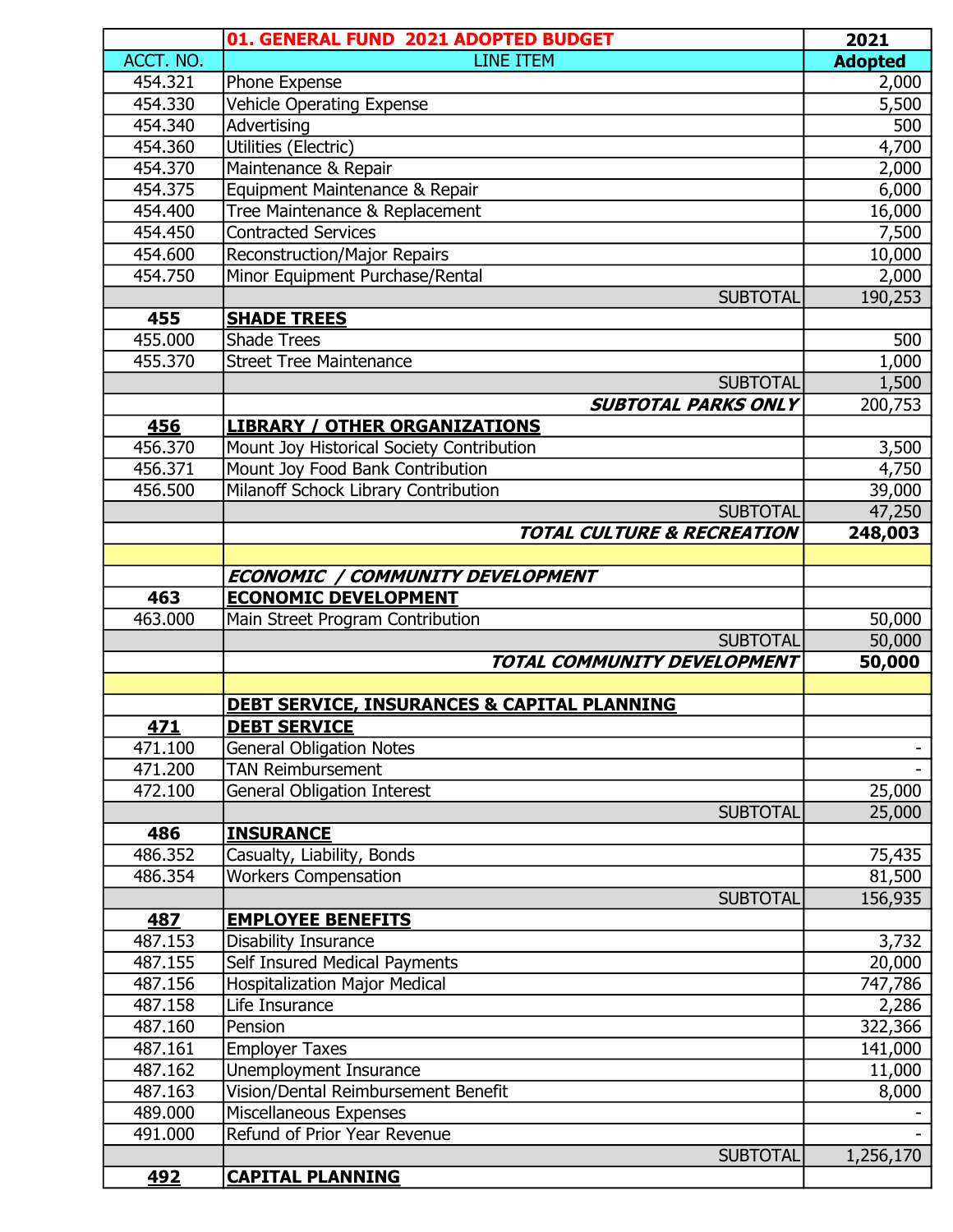|                | 01. GENERAL FUND 2021 ADOPTED BUDGET                        | 2021             |
|----------------|-------------------------------------------------------------|------------------|
| ACCT. NO.      | <b>LINE ITEM</b>                                            | <b>Adopted</b>   |
| 454.321        | Phone Expense                                               | 2,000            |
| 454.330        | <b>Vehicle Operating Expense</b>                            | 5,500            |
| 454.340        | Advertising                                                 | 500              |
| 454.360        | Utilities (Electric)                                        | 4,700            |
| 454.370        | Maintenance & Repair                                        | 2,000            |
| 454.375        | Equipment Maintenance & Repair                              | 6,000            |
| 454.400        | Tree Maintenance & Replacement                              | 16,000           |
| 454.450        | <b>Contracted Services</b>                                  | 7,500            |
| 454.600        | <b>Reconstruction/Major Repairs</b>                         | 10,000           |
| 454.750        | Minor Equipment Purchase/Rental                             | 2,000            |
|                | <b>SUBTOTAL</b>                                             | 190,253          |
| 455            | <b>SHADE TREES</b>                                          |                  |
| 455.000        | <b>Shade Trees</b>                                          | 500              |
| 455.370        | <b>Street Tree Maintenance</b>                              | 1,000            |
|                | <b>SUBTOTAL</b>                                             | 1,500            |
|                | <b>SUBTOTAL PARKS ONLY</b>                                  | 200,753          |
| 456            | <b>LIBRARY / OTHER ORGANIZATIONS</b>                        |                  |
| 456.370        | Mount Joy Historical Society Contribution                   | 3,500            |
| 456.371        | Mount Joy Food Bank Contribution                            | 4,750            |
| 456.500        | Milanoff Schock Library Contribution                        | 39,000           |
|                | <b>SUBTOTAL</b>                                             | 47,250           |
|                | <b>TOTAL CULTURE &amp; RECREATION</b>                       | 248,003          |
|                |                                                             |                  |
|                | <b>ECONOMIC / COMMUNITY DEVELOPMENT</b>                     |                  |
| 463            | <b>ECONOMIC DEVELOPMENT</b>                                 |                  |
| 463.000        | Main Street Program Contribution                            | 50,000           |
|                | <b>SUBTOTAL</b>                                             | 50,000           |
|                | TOTAL COMMUNITY DEVELOPMENT                                 | 50,000           |
|                |                                                             |                  |
|                | <b>DEBT SERVICE, INSURANCES &amp; CAPITAL PLANNING</b>      |                  |
| 471<br>471.100 | <b>DEBT SERVICE</b>                                         |                  |
| 471.200        | <b>General Obligation Notes</b><br><b>TAN Reimbursement</b> |                  |
| 472.100        | <b>General Obligation Interest</b>                          |                  |
|                | <b>SUBTOTAL</b>                                             | 25,000<br>25,000 |
| 486            | <b>INSURANCE</b>                                            |                  |
| 486.352        | Casualty, Liability, Bonds                                  | 75,435           |
| 486.354        | <b>Workers Compensation</b>                                 | 81,500           |
|                | <b>SUBTOTAL</b>                                             | 156,935          |
| 487            | <b>EMPLOYEE BENEFITS</b>                                    |                  |
| 487.153        | Disability Insurance                                        | 3,732            |
| 487.155        | Self Insured Medical Payments                               | 20,000           |
| 487.156        | <b>Hospitalization Major Medical</b>                        | 747,786          |
| 487.158        | Life Insurance                                              | 2,286            |
| 487.160        | Pension                                                     | 322,366          |
| 487.161        | <b>Employer Taxes</b>                                       | 141,000          |
| 487.162        | Unemployment Insurance                                      | 11,000           |
| 487.163        | Vision/Dental Reimbursement Benefit                         | 8,000            |
| 489.000        | Miscellaneous Expenses                                      |                  |
| 491.000        | Refund of Prior Year Revenue                                |                  |
|                | <b>SUBTOTAL</b>                                             | 1,256,170        |
| 492            | <b>CAPITAL PLANNING</b>                                     |                  |